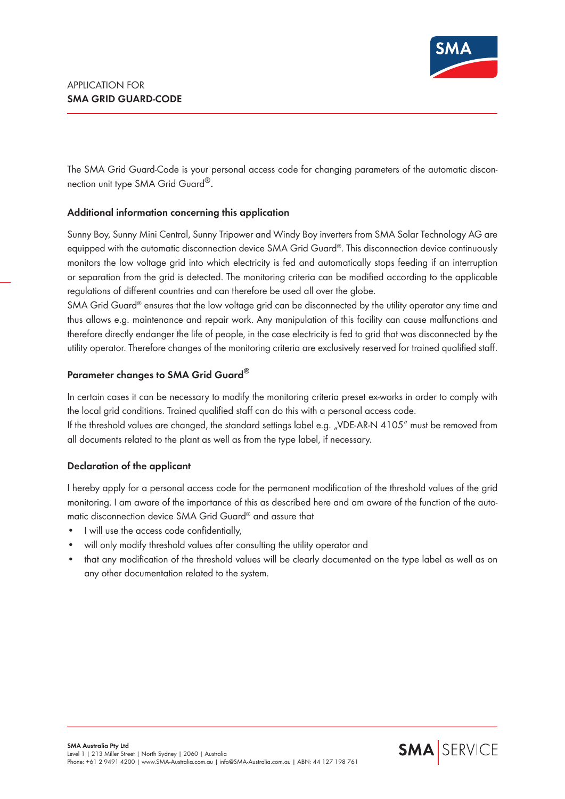

The SMA Grid Guard-Code is your personal access code for changing parameters of the automatic disconnection unit type SMA Grid Guard<sup>®</sup>.

## **Additional information concerning this application**

Sunny Boy, Sunny Mini Central, Sunny Tripower and Windy Boy inverters from SMA Solar Technology AG are equipped with the automatic disconnection device SMA Grid Guard®. This disconnection device continuously monitors the low voltage grid into which electricity is fed and automatically stops feeding if an interruption or separation from the grid is detected. The monitoring criteria can be modified according to the applicable regulations of different countries and can therefore be used all over the globe.

SMA Grid Guard® ensures that the low voltage grid can be disconnected by the utility operator any time and thus allows e.g. maintenance and repair work. Any manipulation of this facility can cause malfunctions and therefore directly endanger the life of people, in the case electricity is fed to grid that was disconnected by the utility operator. Therefore changes of the monitoring criteria are exclusively reserved for trained qualified staff.

## **Parameter changes to SMA Grid Guard®**

In certain cases it can be necessary to modify the monitoring criteria preset ex-works in order to comply with the local grid conditions. Trained qualified staff can do this with a personal access code.

If the threshold values are changed, the standard settings label e.g. "VDE-AR-N 4105" must be removed from all documents related to the plant as well as from the type label, if necessary.

## **Declaration of the applicant**

I hereby apply for a personal access code for the permanent modification of the threshold values of the grid monitoring. I am aware of the importance of this as described here and am aware of the function of the automatic disconnection device SMA Grid Guard® and assure that

- I will use the access code confidentially,
- will only modify threshold values after consulting the utility operator and
- that any modification of the threshold values will be clearly documented on the type label as well as on any other documentation related to the system.